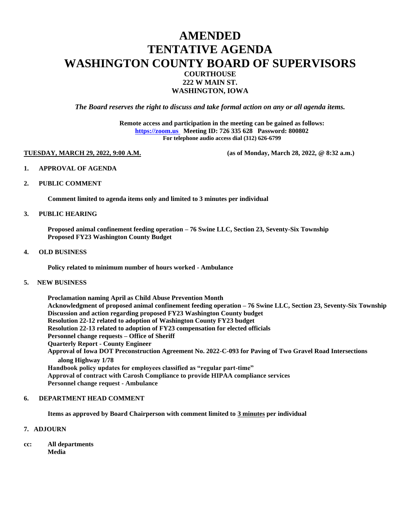## **AMENDED TENTATIVE AGENDA WASHINGTON COUNTY BOARD OF SUPERVISORS COURTHOUSE 222 W MAIN ST. WASHINGTON, IOWA**

*The Board reserves the right to discuss and take formal action on any or all agenda items.*

**Remote access and participation in the meeting can be gained as follows: [https://zoom.us](https://zoom.us/) Meeting ID: 726 335 628 Password: 800802 For telephone audio access dial (312) 626-6799**

**TUESDAY, MARCH 29, 2022, 9:00 A.M. (as of Monday, March 28, 2022, @ 8:32 a.m.)**

- **1. APPROVAL OF AGENDA**
- **2. PUBLIC COMMENT**

**Comment limited to agenda items only and limited to 3 minutes per individual**

#### **3. PUBLIC HEARING**

**Proposed animal confinement feeding operation – 76 Swine LLC, Section 23, Seventy-Six Township Proposed FY23 Washington County Budget** 

#### **4. OLD BUSINESS**

**Policy related to minimum number of hours worked - Ambulance**

### **5. NEW BUSINESS**

**Proclamation naming April as Child Abuse Prevention Month Acknowledgment of proposed animal confinement feeding operation – 76 Swine LLC, Section 23, Seventy-Six Township Discussion and action regarding proposed FY23 Washington County budget Resolution 22-12 related to adoption of Washington County FY23 budget Resolution 22-13 related to adoption of FY23 compensation for elected officials Personnel change requests – Office of Sheriff Quarterly Report - County Engineer Approval of Iowa DOT Preconstruction Agreement No. 2022-C-093 for Paving of Two Gravel Road Intersections along Highway 1/78 Handbook policy updates for employees classified as "regular part-time" Approval of contract with Carosh Compliance to provide HIPAA compliance services Personnel change request - Ambulance**

#### **6. DEPARTMENT HEAD COMMENT**

**Items as approved by Board Chairperson with comment limited to 3 minutes per individual**

#### **7. ADJOURN**

**cc: All departments Media**